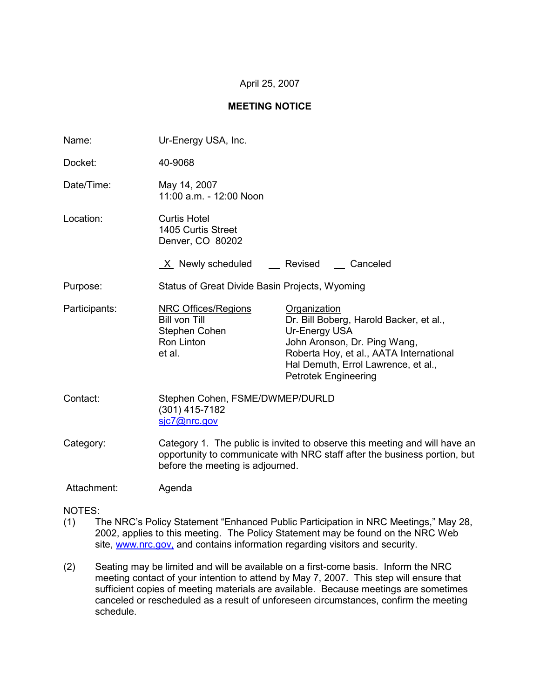## April 25, 2007

#### **MEETING NOTICE**

| Name:         | Ur-Energy USA, Inc.                                                                                                                                                                         |                                                                                                                                                                                                                           |  |
|---------------|---------------------------------------------------------------------------------------------------------------------------------------------------------------------------------------------|---------------------------------------------------------------------------------------------------------------------------------------------------------------------------------------------------------------------------|--|
| Docket:       | 40-9068                                                                                                                                                                                     |                                                                                                                                                                                                                           |  |
| Date/Time:    | May 14, 2007<br>11:00 a.m. - 12:00 Noon                                                                                                                                                     |                                                                                                                                                                                                                           |  |
| Location:     | <b>Curtis Hotel</b><br>1405 Curtis Street<br>Denver, CO 80202                                                                                                                               |                                                                                                                                                                                                                           |  |
|               | X Newly scheduled Revised                                                                                                                                                                   | __ Canceled                                                                                                                                                                                                               |  |
| Purpose:      | Status of Great Divide Basin Projects, Wyoming                                                                                                                                              |                                                                                                                                                                                                                           |  |
| Participants: | <b>NRC Offices/Regions</b><br><b>Bill von Till</b><br>Stephen Cohen<br>Ron Linton<br>et al.                                                                                                 | Organization<br>Dr. Bill Boberg, Harold Backer, et al.,<br>Ur-Energy USA<br>John Aronson, Dr. Ping Wang,<br>Roberta Hoy, et al., AATA International<br>Hal Demuth, Errol Lawrence, et al.,<br><b>Petrotek Engineering</b> |  |
| Contact:      | Stephen Cohen, FSME/DWMEP/DURLD<br>(301) 415-7182<br>sjc7@nrc.gov                                                                                                                           |                                                                                                                                                                                                                           |  |
| Category:     | Category 1. The public is invited to observe this meeting and will have an<br>opportunity to communicate with NRC staff after the business portion, but<br>before the meeting is adjourned. |                                                                                                                                                                                                                           |  |
| Attachment:   | Agenda                                                                                                                                                                                      |                                                                                                                                                                                                                           |  |

NOTES:

- (1) The NRC's Policy Statement "Enhanced Public Participation in NRC Meetings," May 28, 2002, applies to this meeting. The Policy Statement may be found on the NRC Web site, www.nrc.gov, and contains information regarding visitors and security.
- (2) Seating may be limited and will be available on a first-come basis. Inform the NRC meeting contact of your intention to attend by May 7, 2007. This step will ensure that sufficient copies of meeting materials are available. Because meetings are sometimes canceled or rescheduled as a result of unforeseen circumstances, confirm the meeting schedule.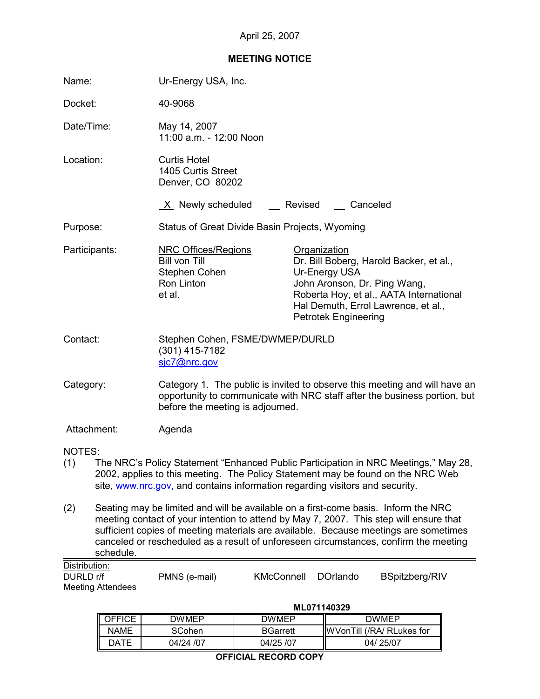# **MEETING NOTICE**

| Name:                                                                                                                                                                                                                                                                                                                                                                            |                                              | Ur-Energy USA, Inc.                                                                                                                                                                                                                                    |                                                                                                                           |  |
|----------------------------------------------------------------------------------------------------------------------------------------------------------------------------------------------------------------------------------------------------------------------------------------------------------------------------------------------------------------------------------|----------------------------------------------|--------------------------------------------------------------------------------------------------------------------------------------------------------------------------------------------------------------------------------------------------------|---------------------------------------------------------------------------------------------------------------------------|--|
| Docket:                                                                                                                                                                                                                                                                                                                                                                          |                                              | 40-9068                                                                                                                                                                                                                                                |                                                                                                                           |  |
| Date/Time:                                                                                                                                                                                                                                                                                                                                                                       |                                              | May 14, 2007<br>11:00 a.m. - 12:00 Noon                                                                                                                                                                                                                |                                                                                                                           |  |
| Location:                                                                                                                                                                                                                                                                                                                                                                        |                                              | <b>Curtis Hotel</b><br>1405 Curtis Street<br>Denver, CO 80202                                                                                                                                                                                          |                                                                                                                           |  |
|                                                                                                                                                                                                                                                                                                                                                                                  |                                              | $X$ Newly scheduled $X$ Revised $X$ Canceled                                                                                                                                                                                                           |                                                                                                                           |  |
| Purpose:                                                                                                                                                                                                                                                                                                                                                                         |                                              | Status of Great Divide Basin Projects, Wyoming                                                                                                                                                                                                         |                                                                                                                           |  |
| Participants:                                                                                                                                                                                                                                                                                                                                                                    |                                              | <b>NRC Offices/Regions</b><br>Organization<br><b>Bill von Till</b><br>Ur-Energy USA<br>Stephen Cohen<br>Ron Linton<br>John Aronson, Dr. Ping Wang,<br>et al.<br><b>Petrotek Engineering</b>                                                            | Dr. Bill Boberg, Harold Backer, et al.,<br>Roberta Hoy, et al., AATA International<br>Hal Demuth, Errol Lawrence, et al., |  |
| Contact:                                                                                                                                                                                                                                                                                                                                                                         |                                              | Stephen Cohen, FSME/DWMEP/DURLD<br>$(301)$ 415-7182<br>sic7@nrc.gov                                                                                                                                                                                    |                                                                                                                           |  |
| Category:                                                                                                                                                                                                                                                                                                                                                                        |                                              | Category 1. The public is invited to observe this meeting and will have an<br>opportunity to communicate with NRC staff after the business portion, but<br>before the meeting is adjourned.                                                            |                                                                                                                           |  |
|                                                                                                                                                                                                                                                                                                                                                                                  | Attachment:                                  | Agenda                                                                                                                                                                                                                                                 |                                                                                                                           |  |
| NOTES:<br>(1)                                                                                                                                                                                                                                                                                                                                                                    |                                              | The NRC's Policy Statement "Enhanced Public Participation in NRC Meetings," May 28,<br>2002, applies to this meeting. The Policy Statement may be found on the NRC Web<br>site, www.nrc.gov, and contains information regarding visitors and security. |                                                                                                                           |  |
| Seating may be limited and will be available on a first-come basis. Inform the NRC<br>(2)<br>meeting contact of your intention to attend by May 7, 2007. This step will ensure that<br>sufficient copies of meeting materials are available. Because meetings are sometimes<br>canceled or rescheduled as a result of unforeseen circumstances, confirm the meeting<br>schedule. |                                              |                                                                                                                                                                                                                                                        |                                                                                                                           |  |
| Distribution:<br>DURLD r/f                                                                                                                                                                                                                                                                                                                                                       | <b>Meeting Attendees</b>                     | <b>KMcConnell</b><br><b>DOrlando</b><br>PMNS (e-mail)                                                                                                                                                                                                  | BSpitzberg/RIV                                                                                                            |  |
|                                                                                                                                                                                                                                                                                                                                                                                  | ML071140329<br><b>OEEICE</b><br><b>DWMED</b> |                                                                                                                                                                                                                                                        |                                                                                                                           |  |
|                                                                                                                                                                                                                                                                                                                                                                                  |                                              | <b>DWMEP</b>                                                                                                                                                                                                                                           | <b>DWMEP</b>                                                                                                              |  |

OFFICE | DWMEP | DWMEP | DWMEP NAME SCohen BGarrett WVonTill (/RA/ RLukes for<br>DATE 04/24 /07 04/25 /07 04/25 /07 04/25 /07

**OFFICIAL RECORD COPY**